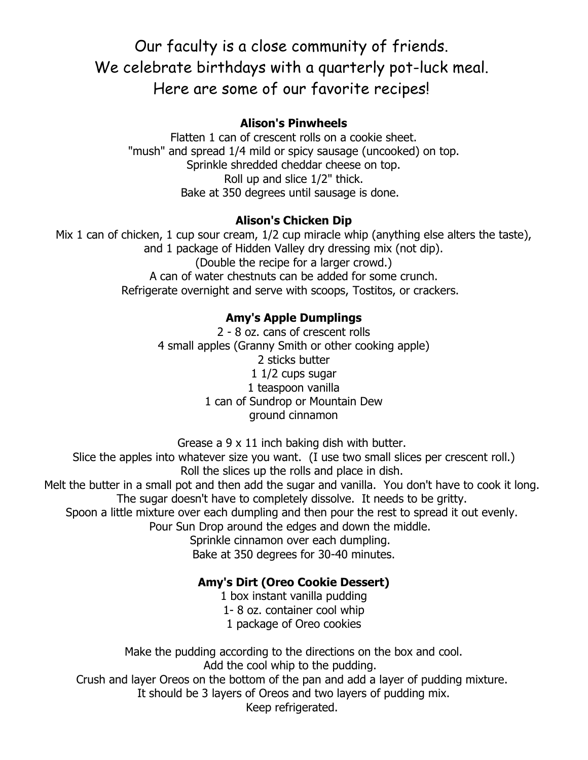# Our faculty is a close community of friends. We celebrate birthdays with a quarterly pot-luck meal. Here are some of our favorite recipes!

#### **Alison's Pinwheels**

Flatten 1 can of crescent rolls on a cookie sheet. "mush" and spread 1/4 mild or spicy sausage (uncooked) on top. Sprinkle shredded cheddar cheese on top. Roll up and slice 1/2" thick. Bake at 350 degrees until sausage is done.

# **Alison's Chicken Dip**

Mix 1 can of chicken, 1 cup sour cream,  $1/2$  cup miracle whip (anything else alters the taste), and 1 package of Hidden Valley dry dressing mix (not dip). (Double the recipe for a larger crowd.) A can of water chestnuts can be added for some crunch. Refrigerate overnight and serve with scoops, Tostitos, or crackers.

# **Amy's Apple Dumplings**

2 - 8 oz. cans of crescent rolls 4 small apples (Granny Smith or other cooking apple) 2 sticks butter 1 1/2 cups sugar 1 teaspoon vanilla 1 can of Sundrop or Mountain Dew ground cinnamon

Grease a 9 x 11 inch baking dish with butter.

Slice the apples into whatever size you want. (I use two small slices per crescent roll.) Roll the slices up the rolls and place in dish.

Melt the butter in a small pot and then add the sugar and vanilla. You don't have to cook it long. The sugar doesn't have to completely dissolve. It needs to be gritty.

Spoon a little mixture over each dumpling and then pour the rest to spread it out evenly.

Pour Sun Drop around the edges and down the middle.

Sprinkle cinnamon over each dumpling. Bake at 350 degrees for 30-40 minutes.

# **Amy's Dirt (Oreo Cookie Dessert)**

1 box instant vanilla pudding 1- 8 oz. container cool whip

1 package of Oreo cookies

Make the pudding according to the directions on the box and cool. Add the cool whip to the pudding. Crush and layer Oreos on the bottom of the pan and add a layer of pudding mixture. It should be 3 layers of Oreos and two layers of pudding mix. Keep refrigerated.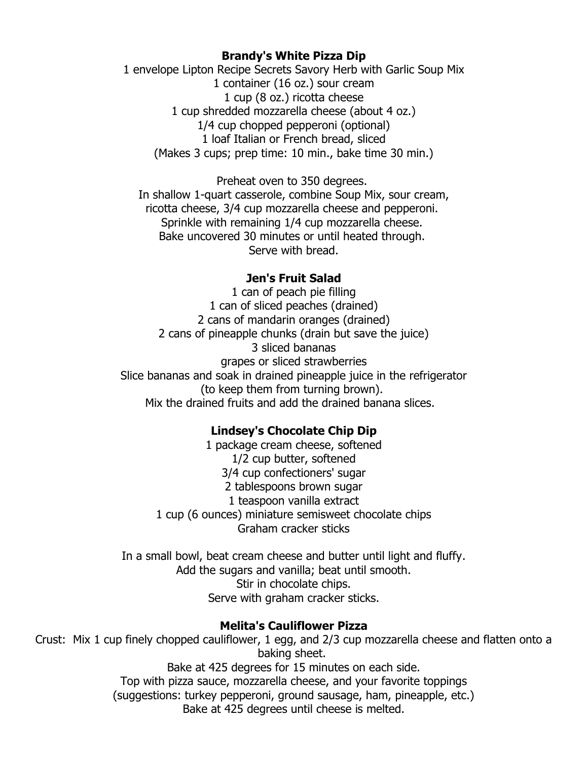#### **Brandy's White Pizza Dip**

1 envelope Lipton Recipe Secrets Savory Herb with Garlic Soup Mix 1 container (16 oz.) sour cream 1 cup (8 oz.) ricotta cheese 1 cup shredded mozzarella cheese (about 4 oz.) 1/4 cup chopped pepperoni (optional) 1 loaf Italian or French bread, sliced (Makes 3 cups; prep time: 10 min., bake time 30 min.)

Preheat oven to 350 degrees. In shallow 1-quart casserole, combine Soup Mix, sour cream, ricotta cheese, 3/4 cup mozzarella cheese and pepperoni. Sprinkle with remaining 1/4 cup mozzarella cheese. Bake uncovered 30 minutes or until heated through. Serve with bread.

#### **Jen's Fruit Salad**

1 can of peach pie filling 1 can of sliced peaches (drained) 2 cans of mandarin oranges (drained) 2 cans of pineapple chunks (drain but save the juice) 3 sliced bananas grapes or sliced strawberries Slice bananas and soak in drained pineapple juice in the refrigerator (to keep them from turning brown). Mix the drained fruits and add the drained banana slices.

#### **Lindsey's Chocolate Chip Dip**

1 package cream cheese, softened 1/2 cup butter, softened 3/4 cup confectioners' sugar 2 tablespoons brown sugar 1 teaspoon vanilla extract 1 cup (6 ounces) miniature semisweet chocolate chips Graham cracker sticks

In a small bowl, beat cream cheese and butter until light and fluffy. Add the sugars and vanilla; beat until smooth. Stir in chocolate chips. Serve with graham cracker sticks.

#### **Melita's Cauliflower Pizza**

Crust: Mix 1 cup finely chopped cauliflower, 1 egg, and 2/3 cup mozzarella cheese and flatten onto a baking sheet. Bake at 425 degrees for 15 minutes on each side.

Top with pizza sauce, mozzarella cheese, and your favorite toppings (suggestions: turkey pepperoni, ground sausage, ham, pineapple, etc.) Bake at 425 degrees until cheese is melted.